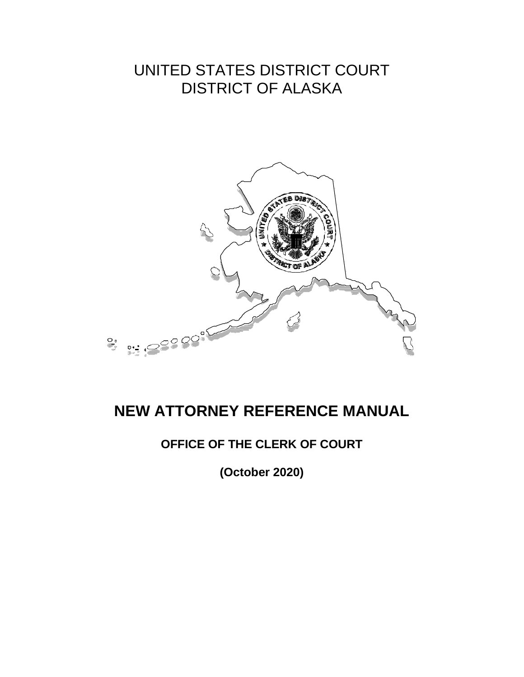# UNITED STATES DISTRICT COURT DISTRICT OF ALASKA



# **NEW ATTORNEY REFERENCE MANUAL**

# **OFFICE OF THE CLERK OF COURT**

**(October 2020)**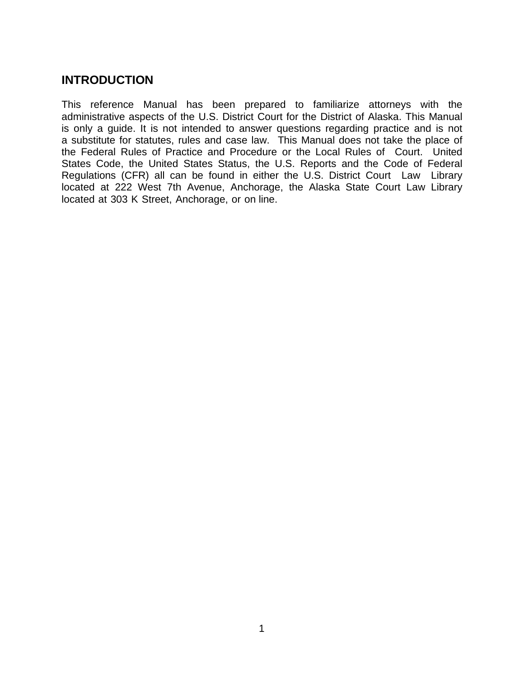# **INTRODUCTION**

This reference Manual has been prepared to familiarize attorneys with the administrative aspects of the U.S. District Court for the District of Alaska. This Manual is only a guide. It is not intended to answer questions regarding practice and is not a substitute for statutes, rules and case law. This Manual does not take the place of the Federal Rules of Practice and Procedure or the Local Rules of Court. United States Code, the United States Status, the U.S. Reports and the Code of Federal Regulations (CFR) all can be found in either the U.S. District Court Law Library located at 222 West 7th Avenue, Anchorage, the Alaska State Court Law Library located at 303 K Street, Anchorage, or on line.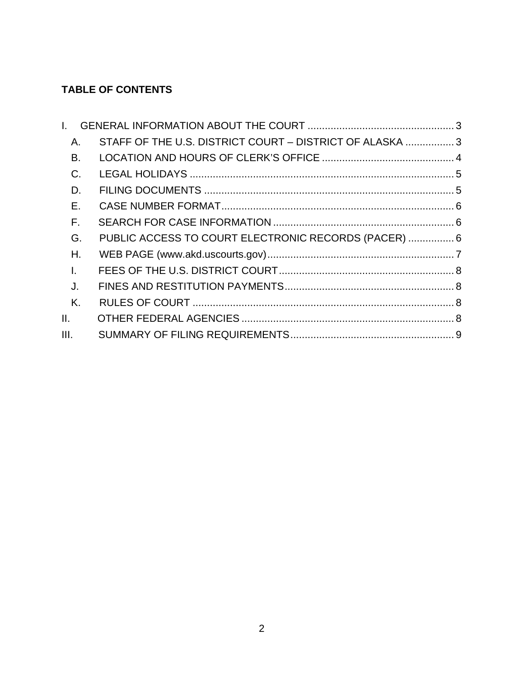# **TABLE OF CONTENTS**

| L.           |       |                                                          |  |
|--------------|-------|----------------------------------------------------------|--|
|              | Α.    | STAFF OF THE U.S. DISTRICT COURT - DISTRICT OF ALASKA  3 |  |
|              | В.    |                                                          |  |
|              | $C$ . |                                                          |  |
|              | D.    |                                                          |  |
|              | Ε.    |                                                          |  |
|              | F.    |                                                          |  |
|              | G.    | PUBLIC ACCESS TO COURT ELECTRONIC RECORDS (PACER)  6     |  |
|              | Η.    |                                                          |  |
| $\mathbf{L}$ |       |                                                          |  |
|              | J.    |                                                          |  |
|              | Κ.    |                                                          |  |
| II.          |       |                                                          |  |
| III.         |       |                                                          |  |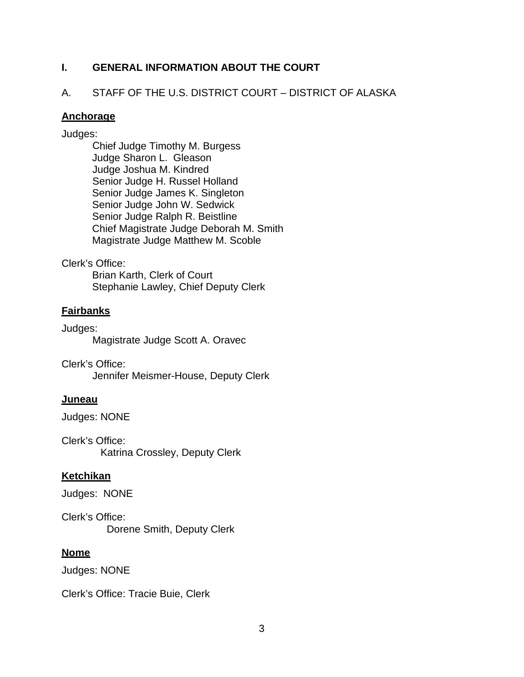### <span id="page-3-0"></span>**I. GENERAL INFORMATION ABOUT THE COURT**

### <span id="page-3-1"></span>A. STAFF OF THE U.S. DISTRICT COURT – DISTRICT OF ALASKA

### **Anchorage**

### Judges:

Chief Judge Timothy M. Burgess Judge Sharon L. Gleason Judge Joshua M. Kindred Senior Judge H. Russel Holland Senior Judge James K. Singleton Senior Judge John W. Sedwick Senior Judge Ralph R. Beistline Chief Magistrate Judge Deborah M. Smith Magistrate Judge Matthew M. Scoble

### Clerk's Office:

Brian Karth, Clerk of Court Stephanie Lawley, Chief Deputy Clerk

# **Fairbanks**

Judges: Magistrate Judge Scott A. Oravec

Clerk's Office: Jennifer Meismer-House, Deputy Clerk

# **Juneau**

Judges: NONE

Clerk's Office: Katrina Crossley, Deputy Clerk

# **Ketchikan**

Judges: NONE

Clerk's Office: Dorene Smith, Deputy Clerk

### **Nome**

Judges: NONE

Clerk's Office: Tracie Buie, Clerk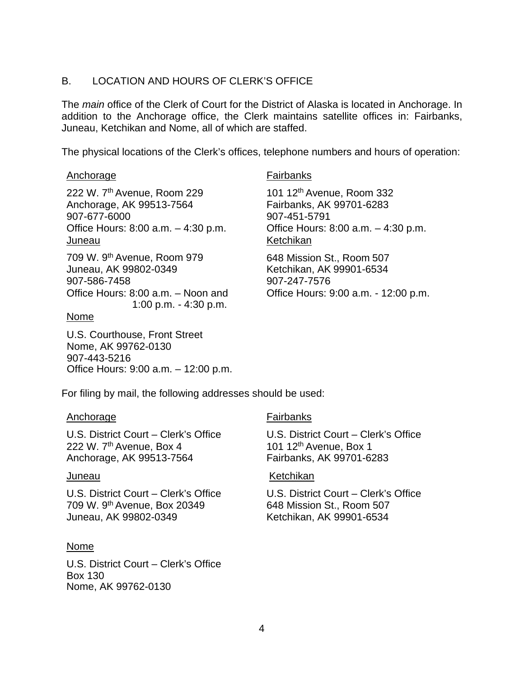### <span id="page-4-0"></span>B. LOCATION AND HOURS OF CLERK'S OFFICE

The *main* office of the Clerk of Court for the District of Alaska is located in Anchorage. In addition to the Anchorage office, the Clerk maintains satellite offices in: Fairbanks, Juneau, Ketchikan and Nome, all of which are staffed.

The physical locations of the Clerk's offices, telephone numbers and hours of operation:

### Anchorage **Fairbanks**

222 W. 7th Avenue, Room 229 Anchorage, AK 99513-7564 907-677-6000 Office Hours: 8:00 a.m. – 4:30 p.m. Juneau

709 W. 9th Avenue, Room 979 Juneau, AK 99802-0349 907-586-7458 Office Hours: 8:00 a.m. – Noon and 1:00 p.m. - 4:30 p.m.

### Nome

U.S. Courthouse, Front Street Nome, AK 99762-0130 907-443-5216 Office Hours: 9:00 a.m. – 12:00 p.m.

101 12th Avenue, Room 332 Fairbanks, AK 99701-6283 907-451-5791 Office Hours: 8:00 a.m. – 4:30 p.m. Ketchikan

648 Mission St., Room 507 Ketchikan, AK 99901-6534 907-247-7576 Office Hours: 9:00 a.m. - 12:00 p.m.

For filing by mail, the following addresses should be used:

### Anchorage **Fairbanks**

U.S. District Court – Clerk's Office 222 W.  $7<sup>th</sup>$  Avenue, Box 4 Anchorage, AK 99513-7564

U.S. District Court – Clerk's Office 709 W. 9th Avenue, Box 20349 Juneau, AK 99802-0349

### Nome

U.S. District Court – Clerk's Office Box 130 Nome, AK 99762-0130

U.S. District Court – Clerk's Office 101 12<sup>th</sup> Avenue, Box 1 Fairbanks, AK 99701-6283

### Juneau Ketchikan

U.S. District Court – Clerk's Office 648 Mission St., Room 507 Ketchikan, AK 99901-6534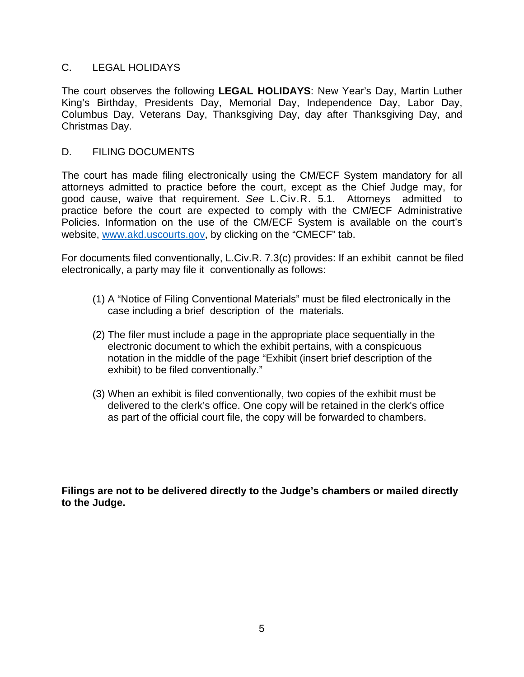### <span id="page-5-0"></span>C. LEGAL HOLIDAYS

The court observes the following **LEGAL HOLIDAYS**: New Year's Day, Martin Luther King's Birthday, Presidents Day, Memorial Day, Independence Day, Labor Day, Columbus Day, Veterans Day, Thanksgiving Day, day after Thanksgiving Day, and Christmas Day.

### <span id="page-5-1"></span>D. FILING DOCUMENTS

The court has made filing electronically using the CM/ECF System mandatory for all attorneys admitted to practice before the court, except as the Chief Judge may, for good cause, waive that requirement. *See* L.Civ.R. 5.1. Attorneys admitted to practice before the court are expected to comply with the CM/ECF Administrative Policies. Information on the use of the CM/ECF System is available on the court's [website,](http://www.akd.uscourts.gov/) [www.akd.uscourts.gov, b](http://www.akd.uscourts.gov/)y clicking on the "CMECF" tab.

For documents filed conventionally, L.Civ.R. 7.3(c) provides: If an exhibit cannot be filed electronically, a party may file it conventionally as follows:

- (1) A "Notice of Filing Conventional Materials" must be filed electronically in the case including a brief description of the materials.
- (2) The filer must include a page in the appropriate place sequentially in the electronic document to which the exhibit pertains, with a conspicuous notation in the middle of the page "Exhibit (insert brief description of the exhibit) to be filed conventionally."
- (3) When an exhibit is filed conventionally, two copies of the exhibit must be delivered to the clerk's office. One copy will be retained in the clerk's office as part of the official court file, the copy will be forwarded to chambers.

**Filings are not to be delivered directly to the Judge's chambers or mailed directly to the Judge.**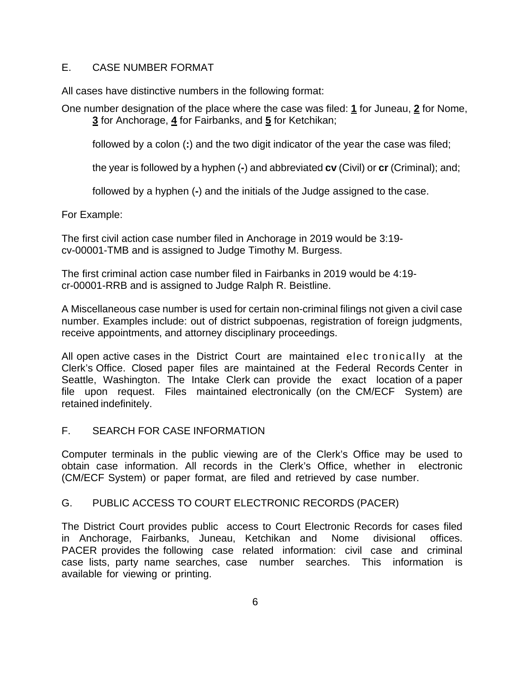### <span id="page-6-0"></span>E. CASE NUMBER FORMAT

All cases have distinctive numbers in the following format:

One number designation of the place where the case was filed: **1** for Juneau, **2** for Nome, **3** for Anchorage, **4** for Fairbanks, and **5** for Ketchikan;

followed by a colon (**:**) and the two digit indicator of the year the case was filed;

the year is followed by a hyphen (**-**) and abbreviated **cv** (Civil) or **cr** (Criminal); and;

followed by a hyphen (**-**) and the initials of the Judge assigned to the case.

For Example:

The first civil action case number filed in Anchorage in 2019 would be 3:19 cv-00001-TMB and is assigned to Judge Timothy M. Burgess.

The first criminal action case number filed in Fairbanks in 2019 would be 4:19 cr-00001-RRB and is assigned to Judge Ralph R. Beistline.

A Miscellaneous case number is used for certain non-criminal filings not given a civil case number. Examples include: out of district subpoenas, registration of foreign judgments, receive appointments, and attorney disciplinary proceedings.

All open active cases in the District Court are maintained elec tronically at the Clerk's Office. Closed paper files are maintained at the Federal Records Center in Seattle, Washington. The Intake Clerk can provide the exact location of a paper file upon request. Files maintained electronically (on the CM/ECF System) are retained indefinitely.

### F. SEARCH FOR CASE INFORMATION

<span id="page-6-1"></span>Computer terminals in the public viewing are of the Clerk's Office may be used to obtain case information. All records in the Clerk's Office, whether in electronic (CM/ECF System) or paper format, are filed and retrieved by case number.

### G. PUBLIC ACCESS TO COURT ELECTRONIC RECORDS (PACER)

<span id="page-6-2"></span>The District Court provides public access to Court Electronic Records for cases filed in Anchorage, Fairbanks, Juneau, Ketchikan and Nome divisional offices. PACER provides the following case related information: civil case and criminal case lists, party name searches, case number searches. This information is available for viewing or printing.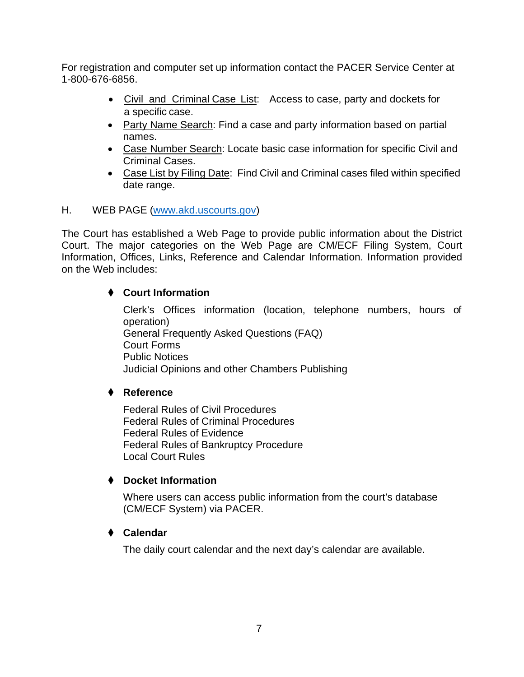For registration and computer set up information contact the PACER Service Center at 1-800-676-6856.

- Civil and Criminal Case List: Access to case, party and dockets for a specific case.
- Party Name Search: Find a case and party information based on partial names.
- Case Number Search: Locate basic case information for specific Civil and Criminal Cases.
- Case List by Filing Date: Find Civil and Criminal cases filed within specified date range.

# <span id="page-7-0"></span>H. WEB PAGE [\(www.akd.uscourts.gov\)](http://www.akd.uscourts.gov/)

The Court has established a Web Page to provide public information about the District Court. The major categories on the Web Page are CM/ECF Filing System, Court Information, Offices, Links, Reference and Calendar Information. Information provided on the Web includes:

# ◆ **Court Information**

Clerk's Offices information (location, telephone numbers, hours of operation) General Frequently Asked Questions (FAQ) Court Forms Public Notices Judicial Opinions and other Chambers Publishing

# ◆ **Reference**

Federal Rules of Civil Procedures Federal Rules of Criminal Procedures Federal Rules of Evidence Federal Rules of Bankruptcy Procedure Local Court Rules

# ◆ **Docket Information**

Where users can access public information from the court's database (CM/ECF System) via PACER.

# ◆ **Calendar**

The daily court calendar and the next day's calendar are available.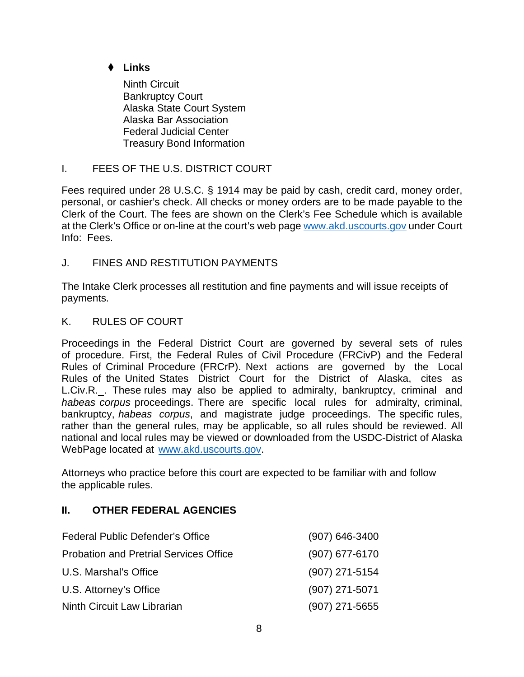# ◆ **Links**

Ninth Circuit Bankruptcy Court Alaska State Court System Alaska Bar Association Federal Judicial Center Treasury Bond Information

# <span id="page-8-0"></span>I. FEES OF THE U.S. DISTRICT COURT

Fees required under 28 U.S.C. § 1914 may be paid by cash, credit card, money order, personal, or cashier's check. All checks or money orders are to be made payable to the Clerk of the Court. The fees are shown on the Clerk's Fee Schedule which is available at the Clerk's Office or on-line at the court's web page [www.akd.uscourts.gov](http://www.akd.uscourts.gov/) under Court Info: Fees.

# <span id="page-8-1"></span>J. FINES AND RESTITUTION PAYMENTS

The Intake Clerk processes all restitution and fine payments and will issue receipts of payments.

# <span id="page-8-2"></span>K. RULES OF COURT

Proceedings in the Federal District Court are governed by several sets of rules of procedure. First, the Federal Rules of Civil Procedure (FRCivP) and the Federal Rules of Criminal Procedure (FRCrP). Next actions are governed by the Local Rules of the United States District Court for the District of Alaska, cites as L.Civ.R. . These rules may also be applied to admiralty, bankruptcy, criminal and *habeas corpus* proceedings. There are specific local rules for admiralty, criminal, bankruptcy, *habeas corpus*, and magistrate judge proceedings. The specific rules, rather than the general rules, may be applicable, so all rules should be reviewed. All national and local rules may be viewed or downloaded from the [USDC-District of](http://www.akd.uscourts.gov/) Alaska WebPage located at [www.akd.uscourts.gov.](http://www.akd.uscourts.gov/)

Attorneys who practice before this court are expected to be familiar with and follow the applicable rules.

# <span id="page-8-3"></span>**II. OTHER FEDERAL AGENCIES**

| Federal Public Defender's Office              | $(907) 646 - 3400$ |
|-----------------------------------------------|--------------------|
| <b>Probation and Pretrial Services Office</b> | $(907)$ 677-6170   |
| U.S. Marshal's Office                         | (907) 271-5154     |
| U.S. Attorney's Office                        | $(907)$ 271-5071   |
| Ninth Circuit Law Librarian                   | $(907)$ 271-5655   |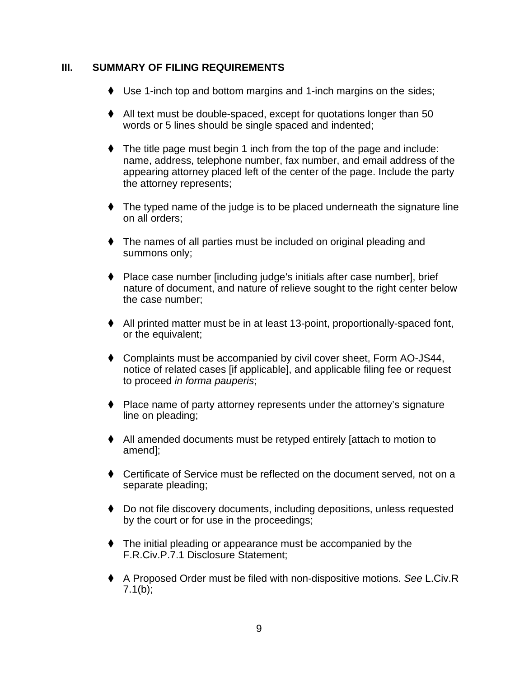### <span id="page-9-0"></span>**III. SUMMARY OF FILING REQUIREMENTS**

- ◆ Use 1-inch top and bottom margins and 1-inch margins on the sides;
- ◆ All text must be double-spaced, except for quotations longer than 50 words or 5 lines should be single spaced and indented;
- ◆ The title page must begin 1 inch from the top of the page and include: name, address, telephone number, fax number, and email address of the appearing attorney placed left of the center of the page. Include the party the attorney represents;
- ◆ The typed name of the judge is to be placed underneath the signature line on all orders;
- ◆ The names of all parties must be included on original pleading and summons only;
- ◆ Place case number [including judge's initials after case number], brief nature of document, and nature of relieve sought to the right center below the case number;
- ◆ All printed matter must be in at least 13-point, proportionally-spaced font, or the equivalent;
- ◆ Complaints must be accompanied by civil cover sheet, Form AO-JS44, notice of related cases [if applicable], and applicable filing fee or request to proceed *in forma pauperis*;
- ◆ Place name of party attorney represents under the attorney's signature line on pleading;
- ◆ All amended documents must be retyped entirely [attach to motion to amend];
- ◆ Certificate of Service must be reflected on the document served, not on a separate pleading;
- ◆ Do not file discovery documents, including depositions, unless requested by the court or for use in the proceedings;
- ◆ The initial pleading or appearance must be accompanied by the F.R.Civ.P.7.1 Disclosure Statement;
- ◆ A Proposed Order must be filed with non-dispositive motions. *See* L.Civ.R  $7.1(b)$ ;